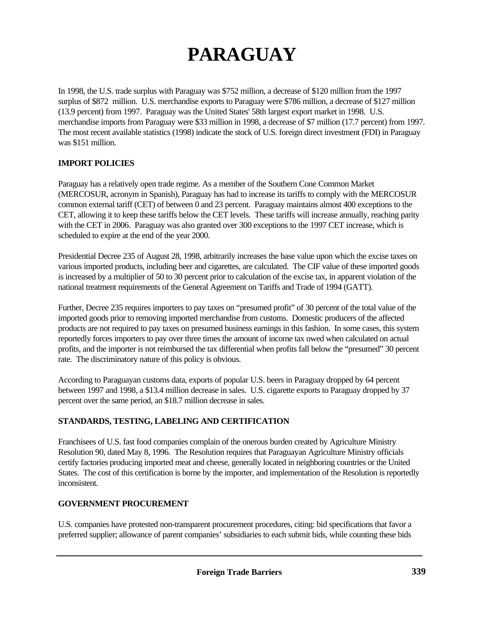# **PARAGUAY**

In 1998, the U.S. trade surplus with Paraguay was \$752 million, a decrease of \$120 million from the 1997 surplus of \$872 million. U.S. merchandise exports to Paraguay were \$786 million, a decrease of \$127 million (13.9 percent) from 1997. Paraguay was the United States' 58th largest export market in 1998. U.S. merchandise imports from Paraguay were \$33 million in 1998, a decrease of \$7 million (17.7 percent) from 1997. The most recent available statistics (1998) indicate the stock of U.S. foreign direct investment (FDI) in Paraguay was \$151 million.

## **IMPORT POLICIES**

Paraguay has a relatively open trade regime. As a member of the Southern Cone Common Market (MERCOSUR, acronym in Spanish), Paraguay has had to increase its tariffs to comply with the MERCOSUR common external tariff (CET) of between 0 and 23 percent. Paraguay maintains almost 400 exceptions to the CET, allowing it to keep these tariffs below the CET levels. These tariffs will increase annually, reaching parity with the CET in 2006. Paraguay was also granted over 300 exceptions to the 1997 CET increase, which is scheduled to expire at the end of the year 2000.

Presidential Decree 235 of August 28, 1998, arbitrarily increases the base value upon which the excise taxes on various imported products, including beer and cigarettes, are calculated. The CIF value of these imported goods is increased by a multiplier of 50 to 30 percent prior to calculation of the excise tax, in apparent violation of the national treatment requirements of the General Agreement on Tariffs and Trade of 1994 (GATT).

Further, Decree 235 requires importers to pay taxes on "presumed profit" of 30 percent of the total value of the imported goods prior to removing imported merchandise from customs. Domestic producers of the affected products are not required to pay taxes on presumed business earnings in this fashion. In some cases, this system reportedly forces importers to pay over three times the amount of income tax owed when calculated on actual profits, and the importer is not reimbursed the tax differential when profits fall below the "presumed" 30 percent rate. The discriminatory nature of this policy is obvious.

According to Paraguayan customs data, exports of popular U.S. beers in Paraguay dropped by 64 percent between 1997 and 1998, a \$13.4 million decrease in sales. U.S. cigarette exports to Paraguay dropped by 37 percent over the same period, an \$18.7 million decrease in sales.

## **STANDARDS, TESTING, LABELING AND CERTIFICATION**

Franchisees of U.S. fast food companies complain of the onerous burden created by Agriculture Ministry Resolution 90, dated May 8, 1996. The Resolution requires that Paraguayan Agriculture Ministry officials certify factories producing imported meat and cheese, generally located in neighboring countries or the United States. The cost of this certification is borne by the importer, and implementation of the Resolution is reportedly inconsistent.

## **GOVERNMENT PROCUREMENT**

U.S. companies have protested non-transparent procurement procedures, citing: bid specifications that favor a preferred supplier; allowance of parent companies' subsidiaries to each submit bids, while counting these bids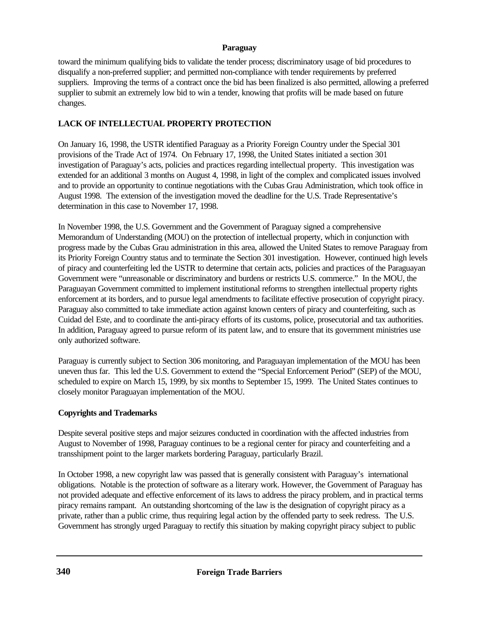#### **Paraguay**

toward the minimum qualifying bids to validate the tender process; discriminatory usage of bid procedures to disqualify a non-preferred supplier; and permitted non-compliance with tender requirements by preferred suppliers. Improving the terms of a contract once the bid has been finalized is also permitted, allowing a preferred supplier to submit an extremely low bid to win a tender, knowing that profits will be made based on future changes.

## **LACK OF INTELLECTUAL PROPERTY PROTECTION**

On January 16, 1998, the USTR identified Paraguay as a Priority Foreign Country under the Special 301 provisions of the Trade Act of 1974. On February 17, 1998, the United States initiated a section 301 investigation of Paraguay's acts, policies and practices regarding intellectual property. This investigation was extended for an additional 3 months on August 4, 1998, in light of the complex and complicated issues involved and to provide an opportunity to continue negotiations with the Cubas Grau Administration, which took office in August 1998. The extension of the investigation moved the deadline for the U.S. Trade Representative's determination in this case to November 17, 1998.

In November 1998, the U.S. Government and the Government of Paraguay signed a comprehensive Memorandum of Understanding (MOU) on the protection of intellectual property, which in conjunction with progress made by the Cubas Grau administration in this area, allowed the United States to remove Paraguay from its Priority Foreign Country status and to terminate the Section 301 investigation. However, continued high levels of piracy and counterfeiting led the USTR to determine that certain acts, policies and practices of the Paraguayan Government were "unreasonable or discriminatory and burdens or restricts U.S. commerce." In the MOU, the Paraguayan Government committed to implement institutional reforms to strengthen intellectual property rights enforcement at its borders, and to pursue legal amendments to facilitate effective prosecution of copyright piracy. Paraguay also committed to take immediate action against known centers of piracy and counterfeiting, such as Cuidad del Este, and to coordinate the anti-piracy efforts of its customs, police, prosecutorial and tax authorities. In addition, Paraguay agreed to pursue reform of its patent law, and to ensure that its government ministries use only authorized software.

Paraguay is currently subject to Section 306 monitoring, and Paraguayan implementation of the MOU has been uneven thus far. This led the U.S. Government to extend the "Special Enforcement Period" (SEP) of the MOU, scheduled to expire on March 15, 1999, by six months to September 15, 1999. The United States continues to closely monitor Paraguayan implementation of the MOU.

## **Copyrights and Trademarks**

Despite several positive steps and major seizures conducted in coordination with the affected industries from August to November of 1998, Paraguay continues to be a regional center for piracy and counterfeiting and a transshipment point to the larger markets bordering Paraguay, particularly Brazil.

In October 1998, a new copyright law was passed that is generally consistent with Paraguay's international obligations. Notable is the protection of software as a literary work. However, the Government of Paraguay has not provided adequate and effective enforcement of its laws to address the piracy problem, and in practical terms piracy remains rampant. An outstanding shortcoming of the law is the designation of copyright piracy as a private, rather than a public crime, thus requiring legal action by the offended party to seek redress. The U.S. Government has strongly urged Paraguay to rectify this situation by making copyright piracy subject to public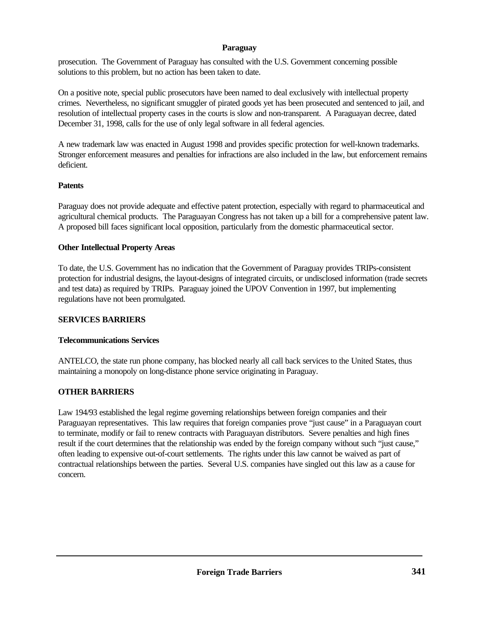## **Paraguay**

prosecution. The Government of Paraguay has consulted with the U.S. Government concerning possible solutions to this problem, but no action has been taken to date.

On a positive note, special public prosecutors have been named to deal exclusively with intellectual property crimes. Nevertheless, no significant smuggler of pirated goods yet has been prosecuted and sentenced to jail, and resolution of intellectual property cases in the courts is slow and non-transparent. A Paraguayan decree, dated December 31, 1998, calls for the use of only legal software in all federal agencies.

A new trademark law was enacted in August 1998 and provides specific protection for well-known trademarks. Stronger enforcement measures and penalties for infractions are also included in the law, but enforcement remains deficient.

#### **Patents**

Paraguay does not provide adequate and effective patent protection, especially with regard to pharmaceutical and agricultural chemical products. The Paraguayan Congress has not taken up a bill for a comprehensive patent law. A proposed bill faces significant local opposition, particularly from the domestic pharmaceutical sector.

#### **Other Intellectual Property Areas**

To date, the U.S. Government has no indication that the Government of Paraguay provides TRIPs-consistent protection for industrial designs, the layout-designs of integrated circuits, or undisclosed information (trade secrets and test data) as required by TRIPs. Paraguay joined the UPOV Convention in 1997, but implementing regulations have not been promulgated.

#### **SERVICES BARRIERS**

#### **Telecommunications Services**

ANTELCO, the state run phone company, has blocked nearly all call back services to the United States, thus maintaining a monopoly on long-distance phone service originating in Paraguay.

## **OTHER BARRIERS**

Law 194/93 established the legal regime governing relationships between foreign companies and their Paraguayan representatives. This law requires that foreign companies prove "just cause" in a Paraguayan court to terminate, modify or fail to renew contracts with Paraguayan distributors. Severe penalties and high fines result if the court determines that the relationship was ended by the foreign company without such "just cause," often leading to expensive out-of-court settlements. The rights under this law cannot be waived as part of contractual relationships between the parties. Several U.S. companies have singled out this law as a cause for concern.